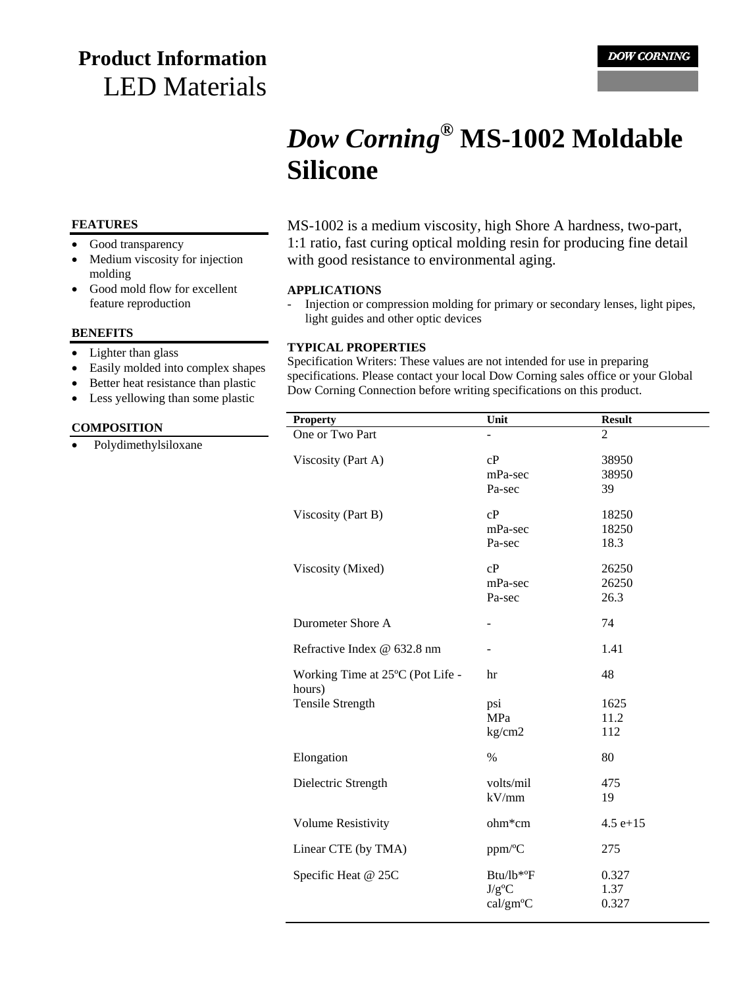# **Product Information** LED Materials

# *Dow Corning***® MS-1002 Moldable Silicone**

#### **FEATURES**

- Good transparency
- Medium viscosity for injection molding
- Good mold flow for excellent feature reproduction

#### **BENEFITS**

- Lighter than glass
- Easily molded into complex shapes
- Better heat resistance than plastic
- Less yellowing than some plastic

#### **COMPOSITION**

• Polydimethylsiloxane

MS-1002 is a medium viscosity, high Shore A hardness, two-part, 1:1 ratio, fast curing optical molding resin for producing fine detail with good resistance to environmental aging.

#### **APPLICATIONS**

- Injection or compression molding for primary or secondary lenses, light pipes, light guides and other optic devices

#### **TYPICAL PROPERTIES**

Specification Writers: These values are not intended for use in preparing specifications. Please contact your local Dow Corning sales office or your Global Dow Corning Connection before writing specifications on this product.

| <b>Property</b>                            | Unit                              | <b>Result</b>          |
|--------------------------------------------|-----------------------------------|------------------------|
| One or Two Part                            |                                   | $\overline{2}$         |
| Viscosity (Part A)                         | cP<br>mPa-sec<br>Pa-sec           | 38950<br>38950<br>39   |
| Viscosity (Part B)                         | cP<br>mPa-sec<br>Pa-sec           | 18250<br>18250<br>18.3 |
| Viscosity (Mixed)                          | cP<br>mPa-sec<br>Pa-sec           | 26250<br>26250<br>26.3 |
| Durometer Shore A                          | $\blacksquare$                    | 74                     |
| Refractive Index @ 632.8 nm                |                                   | 1.41                   |
| Working Time at 25°C (Pot Life -<br>hours) | hr                                | 48                     |
| <b>Tensile Strength</b>                    | psi<br><b>MPa</b><br>kg/cm2       | 1625<br>11.2<br>112    |
| Elongation                                 | $\%$                              | 80                     |
| Dielectric Strength                        | volts/mil<br>kV/mm                | 475<br>19              |
| <b>Volume Resistivity</b>                  | $ohm*cm$                          | $4.5 e+15$             |
| Linear CTE (by TMA)                        | ppm/°C                            | 275                    |
| Specific Heat @ 25C                        | Btu/lb*°F<br>$J/g^oC$<br>cal/gm°C | 0.327<br>1.37<br>0.327 |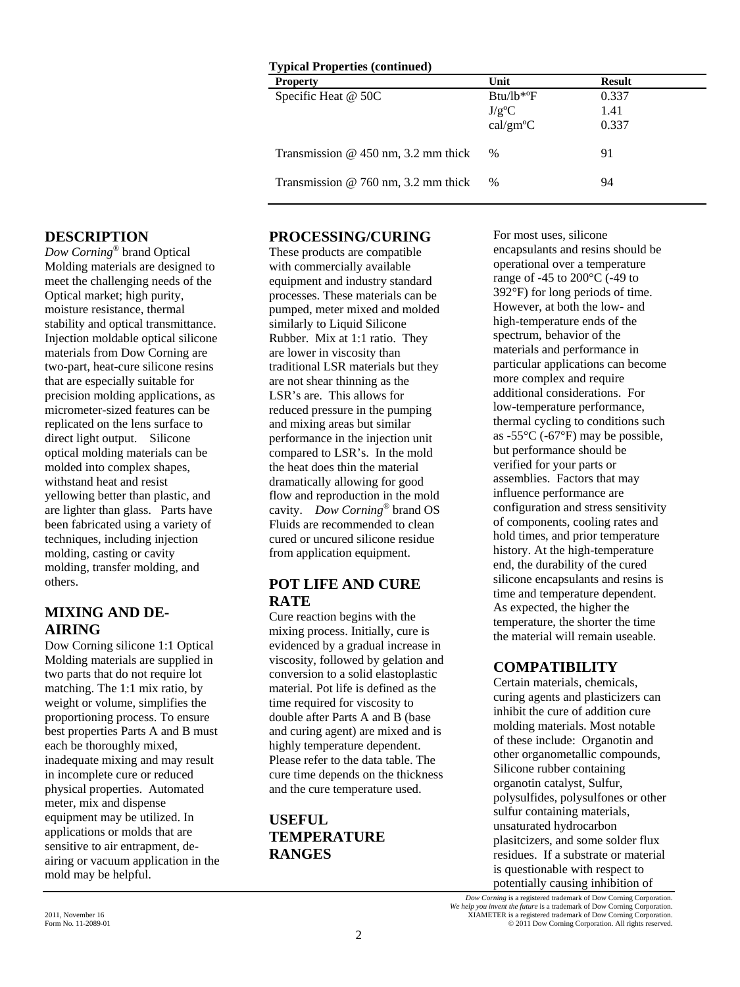| <b>Typical Properties (continued)</b><br><b>Property</b> | Unit                                          | <b>Result</b>          |
|----------------------------------------------------------|-----------------------------------------------|------------------------|
| Specific Heat @ 50C                                      | $Btu/lb*^{\circ}F$<br>$J/g^oC$<br>$cal/gm^oC$ | 0.337<br>1.41<br>0.337 |
| Transmission $@$ 450 nm, 3.2 mm thick                    | %                                             | 91                     |
| Transmission $@$ 760 nm, 3.2 mm thick                    | %                                             | 94                     |

#### **DESCRIPTION**

*Dow Corning*® brand Optical Molding materials are designed to meet the challenging needs of the Optical market; high purity, moisture resistance, thermal stability and optical transmittance. Injection moldable optical silicone materials from Dow Corning are two-part, heat-cure silicone resins that are especially suitable for precision molding applications, as micrometer-sized features can be replicated on the lens surface to direct light output. Silicone optical molding materials can be molded into complex shapes, withstand heat and resist yellowing better than plastic, and are lighter than glass. Parts have been fabricated using a variety of techniques, including injection molding, casting or cavity molding, transfer molding, and others.

#### **MIXING AND DE-AIRING**

Dow Corning silicone 1:1 Optical Molding materials are supplied in two parts that do not require lot matching. The 1:1 mix ratio, by weight or volume, simplifies the proportioning process. To ensure best properties Parts A and B must each be thoroughly mixed, inadequate mixing and may result in incomplete cure or reduced physical properties. Automated meter, mix and dispense equipment may be utilized. In applications or molds that are sensitive to air entrapment, deairing or vacuum application in the mold may be helpful.

#### **PROCESSING/CURING**

These products are compatible with commercially available equipment and industry standard processes. These materials can be pumped, meter mixed and molded similarly to Liquid Silicone Rubber. Mix at 1:1 ratio. They are lower in viscosity than traditional LSR materials but they are not shear thinning as the LSR's are. This allows for reduced pressure in the pumping and mixing areas but similar performance in the injection unit compared to LSR's. In the mold the heat does thin the material dramatically allowing for good flow and reproduction in the mold cavity. *Dow Corning*® brand OS Fluids are recommended to clean cured or uncured silicone residue from application equipment.

#### **POT LIFE AND CURE RATE**

Cure reaction begins with the mixing process. Initially, cure is evidenced by a gradual increase in viscosity, followed by gelation and conversion to a solid elastoplastic material. Pot life is defined as the time required for viscosity to double after Parts A and B (base and curing agent) are mixed and is highly temperature dependent. Please refer to the data table. The cure time depends on the thickness and the cure temperature used.

# **USEFUL TEMPERATURE RANGES**

For most uses, silicone encapsulants and resins should be operational over a temperature range of -45 to 200°C (-49 to 392°F) for long periods of time. However, at both the low- and high-temperature ends of the spectrum, behavior of the materials and performance in particular applications can become more complex and require additional considerations. For low-temperature performance, thermal cycling to conditions such as -55°C (-67°F) may be possible, but performance should be verified for your parts or assemblies. Factors that may influence performance are configuration and stress sensitivity of components, cooling rates and hold times, and prior temperature history. At the high-temperature end, the durability of the cured silicone encapsulants and resins is time and temperature dependent. As expected, the higher the temperature, the shorter the time the material will remain useable.

#### **COMPATIBILITY**

Certain materials, chemicals, curing agents and plasticizers can inhibit the cure of addition cure molding materials. Most notable of these include: Organotin and other organometallic compounds, Silicone rubber containing organotin catalyst, Sulfur, polysulfides, polysulfones or other sulfur containing materials, unsaturated hydrocarbon plasitcizers, and some solder flux residues. If a substrate or material is questionable with respect to potentially causing inhibition of

*Dow Corning* is a registered trademark of Dow Corning Corporation. *We help you invent the future* is a trademark of Dow Corning Corporation. 2011, November 16 <br>
2011 Dow Corning Corporation. All rights reserved.<br>
2011 Dow Corning Corporation. All rights reserved. © 2011 Dow Corning Corporation. All rights reserved.